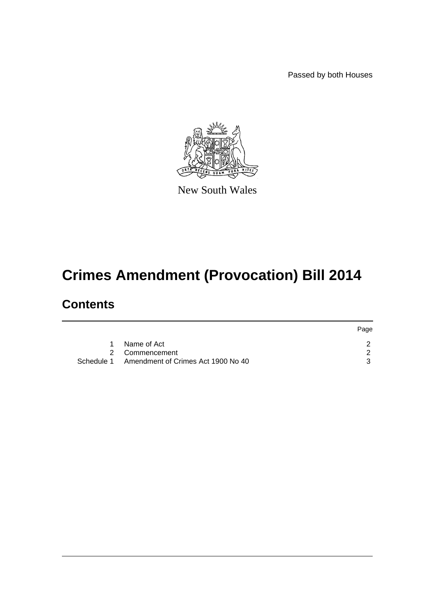Passed by both Houses



New South Wales

# **Crimes Amendment (Provocation) Bill 2014**

### **Contents**

|                                               | Page |
|-----------------------------------------------|------|
| Name of Act<br>$1 \quad$                      |      |
| 2 Commencement                                |      |
| Schedule 1 Amendment of Crimes Act 1900 No 40 |      |
|                                               |      |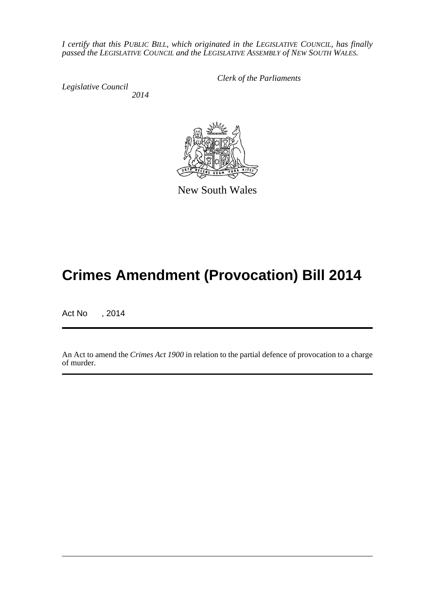*I certify that this PUBLIC BILL, which originated in the LEGISLATIVE COUNCIL, has finally passed the LEGISLATIVE COUNCIL and the LEGISLATIVE ASSEMBLY of NEW SOUTH WALES.*

*Legislative Council 2014* *Clerk of the Parliaments*



New South Wales

## **Crimes Amendment (Provocation) Bill 2014**

Act No , 2014

An Act to amend the *Crimes Act 1900* in relation to the partial defence of provocation to a charge of murder.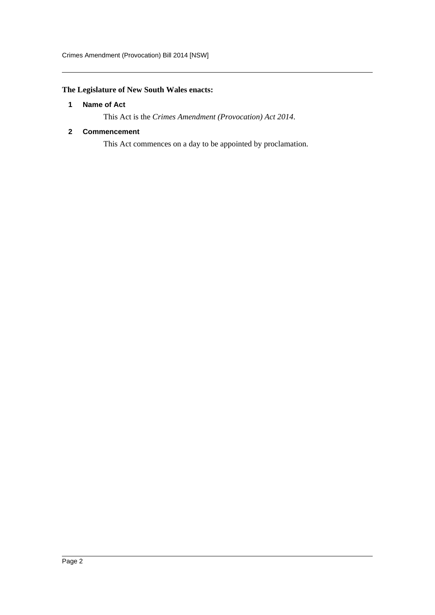#### <span id="page-2-0"></span>**The Legislature of New South Wales enacts:**

#### **1 Name of Act**

This Act is the *Crimes Amendment (Provocation) Act 2014*.

#### <span id="page-2-1"></span>**2 Commencement**

This Act commences on a day to be appointed by proclamation.